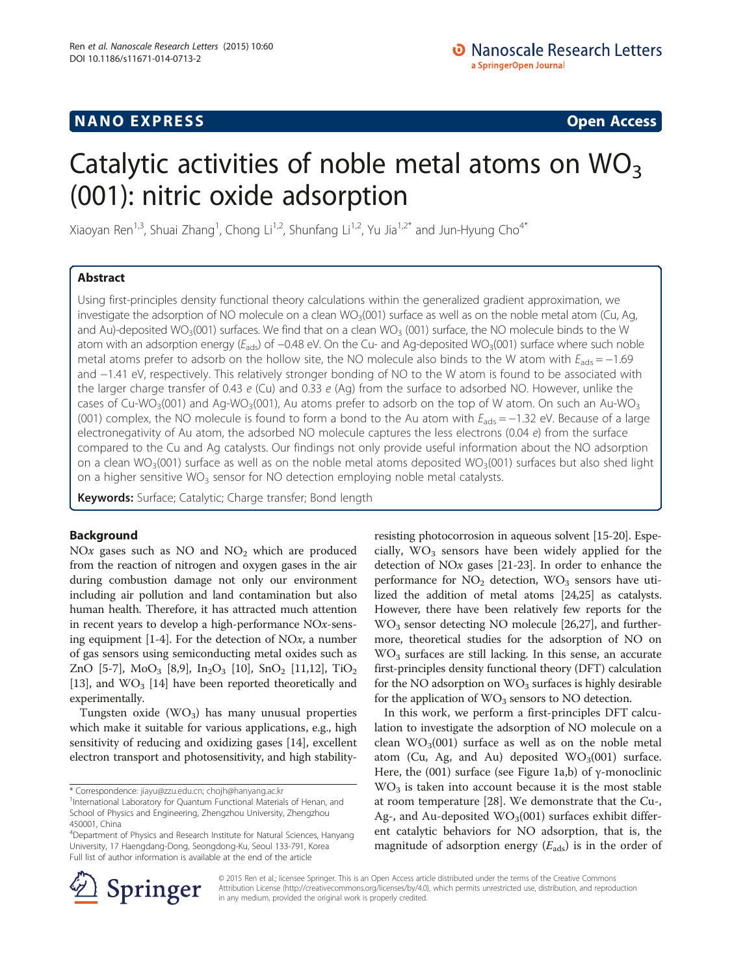# **NANO EXPRESS** Open Access

# Catalytic activities of noble metal atoms on  $WO<sub>3</sub>$ (001): nitric oxide adsorption

Xiaoyan Ren<sup>1,3</sup>, Shuai Zhang<sup>1</sup>, Chong Li<sup>1,2</sup>, Shunfang Li<sup>1,2</sup>, Yu Jia<sup>1,2\*</sup> and Jun-Hyung Cho<sup>4\*</sup>

# Abstract

Using first-principles density functional theory calculations within the generalized gradient approximation, we investigate the adsorption of NO molecule on a clean WO<sub>3</sub>(001) surface as well as on the noble metal atom (Cu, Ag, and Au)-deposited WO<sub>3</sub>(001) surfaces. We find that on a clean WO<sub>3</sub> (001) surface, the NO molecule binds to the W atom with an adsorption energy ( $E_{ads}$ ) of −0.48 eV. On the Cu- and Ag-deposited WO<sub>3</sub>(001) surface where such noble metal atoms prefer to adsorb on the hollow site, the NO molecule also binds to the W atom with  $E_{ads} = -1.69$ and −1.41 eV, respectively. This relatively stronger bonding of NO to the W atom is found to be associated with the larger charge transfer of 0.43  $e$  (Cu) and 0.33  $e$  (Ag) from the surface to adsorbed NO. However, unlike the cases of Cu-WO<sub>3</sub>(001) and Ag-WO<sub>3</sub>(001), Au atoms prefer to adsorb on the top of W atom. On such an Au-WO<sub>3</sub> (001) complex, the NO molecule is found to form a bond to the Au atom with  $E_{ads} = -1.32$  eV. Because of a large electronegativity of Au atom, the adsorbed NO molecule captures the less electrons (0.04  $e$ ) from the surface compared to the Cu and Ag catalysts. Our findings not only provide useful information about the NO adsorption on a clean WO<sub>3</sub>(001) surface as well as on the noble metal atoms deposited WO<sub>3</sub>(001) surfaces but also shed light on a higher sensitive  $WO<sub>3</sub>$  sensor for NO detection employing noble metal catalysts.

Keywords: Surface; Catalytic; Charge transfer; Bond length

# Background

NOx gases such as NO and  $NO<sub>2</sub>$  which are produced from the reaction of nitrogen and oxygen gases in the air during combustion damage not only our environment including air pollution and land contamination but also human health. Therefore, it has attracted much attention in recent years to develop a high-performance NOx-sensing equipment  $[1-4]$  $[1-4]$  $[1-4]$ . For the detection of NOx, a number of gas sensors using semiconducting metal oxides such as ZnO [\[5](#page-4-0)-[7](#page-4-0)],  $MoO<sub>3</sub>$  [\[8,9\]](#page-4-0), In<sub>2</sub>O<sub>3</sub> [\[10](#page-4-0)], SnO<sub>2</sub> [[11,12](#page-4-0)], TiO<sub>2</sub> [[13](#page-4-0)], and  $WO<sub>3</sub>$  [\[14](#page-4-0)] have been reported theoretically and experimentally.

Tungsten oxide  $(WO_3)$  has many unusual properties which make it suitable for various applications, e.g., high sensitivity of reducing and oxidizing gases [\[14](#page-4-0)], excellent electron transport and photosensitivity, and high stability-

\* Correspondence: [jiayu@zzu.edu.cn;](mailto:jiayu@zzu.edu.cn) [chojh@hanyang.ac.kr](mailto:chojh@hanyang.ac.kr) <sup>1</sup>

resisting photocorrosion in aqueous solvent [[15](#page-4-0)-[20](#page-4-0)]. Especially,  $WO<sub>3</sub>$  sensors have been widely applied for the detection of NOx gases [\[21-23\]](#page-4-0). In order to enhance the performance for  $NO<sub>2</sub>$  detection,  $WO<sub>3</sub>$  sensors have utilized the addition of metal atoms [\[24,25\]](#page-4-0) as catalysts. However, there have been relatively few reports for the  $WO<sub>3</sub>$  sensor detecting NO molecule [\[26](#page-4-0)[,27\]](#page-5-0), and furthermore, theoretical studies for the adsorption of NO on  $WO<sub>3</sub>$  surfaces are still lacking. In this sense, an accurate first-principles density functional theory (DFT) calculation for the NO adsorption on  $WO<sub>3</sub>$  surfaces is highly desirable for the application of  $WO<sub>3</sub>$  sensors to NO detection.

In this work, we perform a first-principles DFT calculation to investigate the adsorption of NO molecule on a clean  $WO_3(001)$  surface as well as on the noble metal atom (Cu, Ag, and Au) deposited  $WO<sub>3</sub>(001)$  surface. Here, the (001) surface (see Figure [1](#page-1-0)a,b) of  $\gamma$ -monoclinic  $WO<sub>3</sub>$  is taken into account because it is the most stable at room temperature [[28](#page-5-0)]. We demonstrate that the Cu-, Ag-, and Au-deposited  $WO<sub>3</sub>(001)$  surfaces exhibit different catalytic behaviors for NO adsorption, that is, the magnitude of adsorption energy  $(E_{\text{ads}})$  is in the order of



© 2015 Ren et al.; licensee Springer. This is an Open Access article distributed under the terms of the Creative Commons Attribution License [\(http://creativecommons.org/licenses/by/4.0\)](http://creativecommons.org/licenses/by/4.0), which permits unrestricted use, distribution, and reproduction in any medium, provided the original work is properly credited.

<sup>&</sup>lt;sup>1</sup>International Laboratory for Quantum Functional Materials of Henan, and School of Physics and Engineering, Zhengzhou University, Zhengzhou 450001, China

<sup>&</sup>lt;sup>4</sup>Department of Physics and Research Institute for Natural Sciences, Hanyang University, 17 Haengdang-Dong, Seongdong-Ku, Seoul 133-791, Korea Full list of author information is available at the end of the article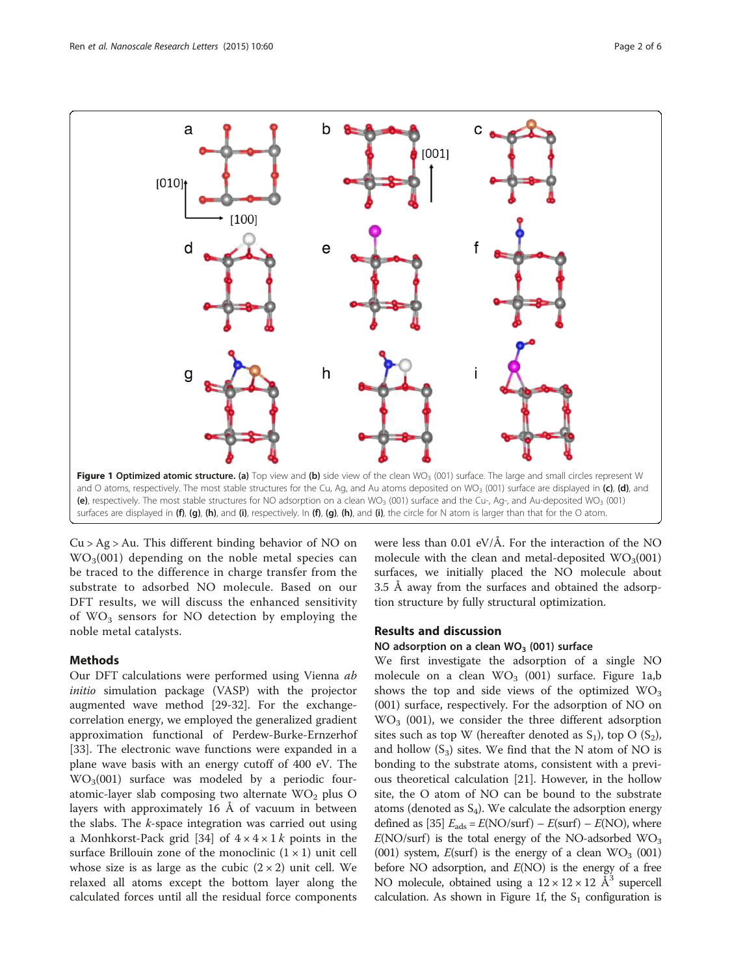<span id="page-1-0"></span>

 $Cu > Ag > Au$ . This different binding behavior of NO on  $WO<sub>3</sub>(001)$  depending on the noble metal species can be traced to the difference in charge transfer from the substrate to adsorbed NO molecule. Based on our DFT results, we will discuss the enhanced sensitivity of  $WO<sub>3</sub>$  sensors for NO detection by employing the noble metal catalysts.

# Methods

Our DFT calculations were performed using Vienna ab initio simulation package (VASP) with the projector augmented wave method [\[29](#page-5-0)-[32](#page-5-0)]. For the exchangecorrelation energy, we employed the generalized gradient approximation functional of Perdew-Burke-Ernzerhof [[33\]](#page-5-0). The electronic wave functions were expanded in a plane wave basis with an energy cutoff of 400 eV. The  $WO<sub>3</sub>(001)$  surface was modeled by a periodic fouratomic-layer slab composing two alternate  $WO<sub>2</sub>$  plus O layers with approximately 16 Å of vacuum in between the slabs. The  $k$ -space integration was carried out using a Monhkorst-Pack grid [[34](#page-5-0)] of  $4 \times 4 \times 1$  k points in the surface Brillouin zone of the monoclinic  $(1 \times 1)$  unit cell whose size is as large as the cubic  $(2 \times 2)$  unit cell. We relaxed all atoms except the bottom layer along the calculated forces until all the residual force components were less than 0.01 eV/Å. For the interaction of the NO molecule with the clean and metal-deposited  $WO_3(001)$ surfaces, we initially placed the NO molecule about 3.5 Å away from the surfaces and obtained the adsorption structure by fully structural optimization.

## Results and discussion

## NO adsorption on a clean  $WO<sub>3</sub>$  (001) surface

We first investigate the adsorption of a single NO molecule on a clean  $WO<sub>3</sub>$  (001) surface. Figure 1a,b shows the top and side views of the optimized  $WO<sub>3</sub>$ (001) surface, respectively. For the adsorption of NO on  $WO<sub>3</sub>$  (001), we consider the three different adsorption sites such as top W (hereafter denoted as  $S_1$ ), top O  $(S_2)$ , and hollow  $(S_3)$  sites. We find that the N atom of NO is bonding to the substrate atoms, consistent with a previous theoretical calculation [\[21](#page-4-0)]. However, in the hollow site, the O atom of NO can be bound to the substrate atoms (denoted as  $S_4$ ). We calculate the adsorption energy defined as [[35](#page-5-0)]  $E_{ads} = E(NO/surf) - E(surf) - E(NO)$ , where  $E(\text{NO/surf})$  is the total energy of the NO-adsorbed  $\text{WO}_3$ (001) system,  $E$ (surf) is the energy of a clean  $WO_3$  (001) before NO adsorption, and  $E(NO)$  is the energy of a free NO molecule, obtained using a  $12 \times 12 \times 12$  Å<sup>3</sup> supercell calculation. As shown in Figure 1f, the  $S_1$  configuration is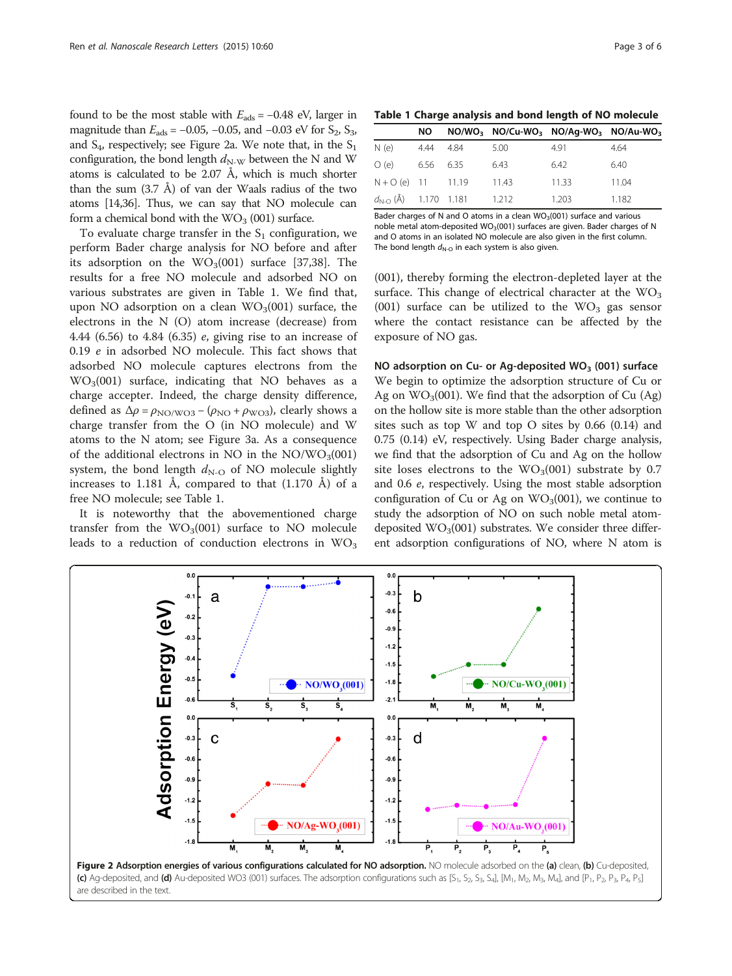<span id="page-2-0"></span>found to be the most stable with  $E_{ads} = -0.48$  eV, larger in magnitude than  $E_{ads}$  = −0.05, −0.05, and −0.03 eV for S<sub>2</sub>, S<sub>3</sub>, and  $S_4$ , respectively; see Figure 2a. We note that, in the  $S_1$ configuration, the bond length  $d_{N-W}$  between the N and W atoms is calculated to be 2.07 Å, which is much shorter than the sum  $(3.7 \text{ Å})$  of van der Waals radius of the two atoms [\[14,](#page-4-0)[36\]](#page-5-0). Thus, we can say that NO molecule can form a chemical bond with the  $WO<sub>3</sub>$  (001) surface.

To evaluate charge transfer in the  $S_1$  configuration, we perform Bader charge analysis for NO before and after its adsorption on the  $WO<sub>3</sub>(001)$  surface [[37](#page-5-0),[38](#page-5-0)]. The results for a free NO molecule and adsorbed NO on various substrates are given in Table 1. We find that, upon NO adsorption on a clean  $WO_3(001)$  surface, the electrons in the N (O) atom increase (decrease) from 4.44 (6.56) to 4.84 (6.35) e, giving rise to an increase of 0.19 e in adsorbed NO molecule. This fact shows that adsorbed NO molecule captures electrons from the  $WO<sub>3</sub>(001)$  surface, indicating that NO behaves as a charge accepter. Indeed, the charge density difference, defined as  $\Delta \rho = \rho_{\text{NO/WO3}} - (\rho_{\text{NO}} + \rho_{\text{WO3}})$ , clearly shows a charge transfer from the O (in NO molecule) and W atoms to the N atom; see Figure [3](#page-3-0)a. As a consequence of the additional electrons in NO in the  $NO/WO_3(001)$ system, the bond length  $d_{N-O}$  of NO molecule slightly increases to 1.181 Å, compared to that  $(1.170 \text{ Å})$  of a free NO molecule; see Table 1.

It is noteworthy that the abovementioned charge transfer from the  $WO<sub>3</sub>(001)$  surface to NO molecule leads to a reduction of conduction electrons in  $WO_3$ 

|  |  |  |  |  |  |  | Table 1 Charge analysis and bond length of NO molecule |  |
|--|--|--|--|--|--|--|--------------------------------------------------------|--|
|--|--|--|--|--|--|--|--------------------------------------------------------|--|

|                     | NO –      |                                         |      | $NO/WO_3$ $NO/Cu-WO_3$ $NO/Ag-WO_3$ $NO/Au-WO_3$ |       |
|---------------------|-----------|-----------------------------------------|------|--------------------------------------------------|-------|
| N (e)               | 4.44 4.84 |                                         | 5.00 | 4.91                                             | 4.64  |
| O(e)                | 6.56 6.35 |                                         | 6.43 | 6.42                                             | 6.40  |
| $N + O(e)$ 11 11.19 |           |                                         | 1143 | 11 33                                            | 11.04 |
|                     |           | $d_{N-O}(\text{\AA})$ 1.170 1.181 1.212 |      | 1.203                                            | 1.182 |

Bader charges of N and O atoms in a clean  $WO<sub>3</sub>(001)$  surface and various noble metal atom-deposited  $WO_3(001)$  surfaces are given. Bader charges of N and O atoms in an isolated NO molecule are also given in the first column. The bond length  $d_{N-O}$  in each system is also given.

(001), thereby forming the electron-depleted layer at the surface. This change of electrical character at the  $WO<sub>3</sub>$ (001) surface can be utilized to the  $WO<sub>3</sub>$  gas sensor where the contact resistance can be affected by the exposure of NO gas.

NO adsorption on Cu- or Ag-deposited  $WO<sub>3</sub>$  (001) surface We begin to optimize the adsorption structure of Cu or Ag on  $WO_3(001)$ . We find that the adsorption of Cu (Ag) on the hollow site is more stable than the other adsorption sites such as top W and top O sites by 0.66 (0.14) and 0.75 (0.14) eV, respectively. Using Bader charge analysis, we find that the adsorption of Cu and Ag on the hollow site loses electrons to the  $WO<sub>3</sub>(001)$  substrate by 0.7 and 0.6 e, respectively. Using the most stable adsorption configuration of Cu or Ag on  $WO<sub>3</sub>(001)$ , we continue to study the adsorption of NO on such noble metal atomdeposited  $WO<sub>3</sub>(001)$  substrates. We consider three different adsorption configurations of NO, where N atom is

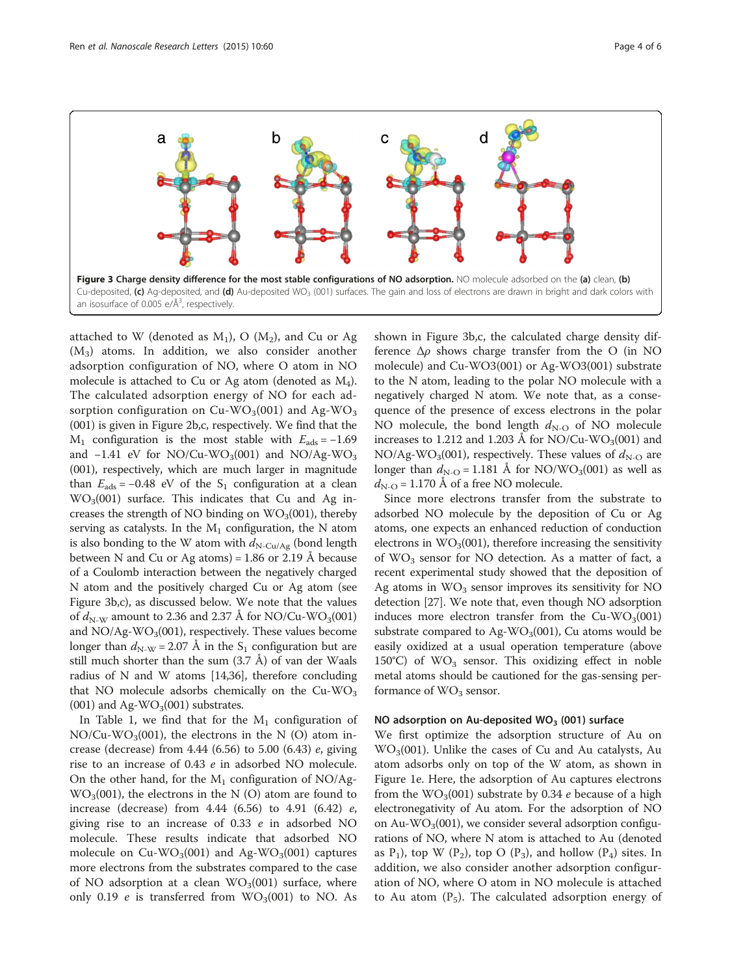<span id="page-3-0"></span>

attached to W (denoted as  $M_1$ ), O ( $M_2$ ), and Cu or Ag  $(M_3)$  atoms. In addition, we also consider another adsorption configuration of NO, where O atom in NO molecule is attached to Cu or Ag atom (denoted as M4). The calculated adsorption energy of NO for each adsorption configuration on Cu-WO<sub>3</sub>(001) and Ag-WO<sub>3</sub> (001) is given in Figure [2](#page-2-0)b,c, respectively. We find that the  $M_1$  configuration is the most stable with  $E_{ads} = -1.69$ and  $-1.41$  eV for NO/Cu-WO<sub>3</sub>(001) and NO/Ag-WO<sub>3</sub> (001), respectively, which are much larger in magnitude than  $E_{ads} = -0.48$  eV of the S<sub>1</sub> configuration at a clean  $WO<sub>3</sub>(001)$  surface. This indicates that Cu and Ag increases the strength of NO binding on  $WO<sub>3</sub>(001)$ , thereby serving as catalysts. In the  $M_1$  configuration, the N atom is also bonding to the W atom with  $d_{\text{N-Cu/Ag}}$  (bond length between N and Cu or Ag atoms) =  $1.86$  or  $2.19$  Å because of a Coulomb interaction between the negatively charged N atom and the positively charged Cu or Ag atom (see Figure 3b,c), as discussed below. We note that the values of  $d_{N-W}$  amount to 2.36 and 2.37 Å for NO/Cu-WO<sub>3</sub>(001) and  $NO/Ag-WO_3(001)$ , respectively. These values become longer than  $d_{N-W} = 2.07$  Å in the S<sub>1</sub> configuration but are still much shorter than the sum  $(3.7 \text{ Å})$  of van der Waals radius of N and W atoms [[14](#page-4-0)[,36](#page-5-0)], therefore concluding that NO molecule adsorbs chemically on the  $Cu-WO<sub>3</sub>$  $(001)$  and Ag-WO<sub>3</sub> $(001)$  substrates.

In Table [1](#page-2-0), we find that for the  $M_1$  configuration of  $NO/Cu-WO<sub>3</sub>(001)$ , the electrons in the N (O) atom increase (decrease) from 4.44 (6.56) to 5.00 (6.43) e, giving rise to an increase of 0.43 e in adsorbed NO molecule. On the other hand, for the  $M_1$  configuration of NO/Ag- $WO<sub>3</sub>(001)$ , the electrons in the N (O) atom are found to increase (decrease) from 4.44 (6.56) to 4.91 (6.42) e, giving rise to an increase of 0.33 e in adsorbed NO molecule. These results indicate that adsorbed NO molecule on  $Cu-WO<sub>3</sub>(001)$  and Ag-WO<sub>3</sub>(001) captures more electrons from the substrates compared to the case of NO adsorption at a clean  $WO_3(001)$  surface, where only 0.19  $e$  is transferred from  $WO_3(001)$  to NO. As

shown in Figure 3b,c, the calculated charge density difference  $\Delta \rho$  shows charge transfer from the O (in NO molecule) and Cu-WO3(001) or Ag-WO3(001) substrate to the N atom, leading to the polar NO molecule with a negatively charged N atom. We note that, as a consequence of the presence of excess electrons in the polar NO molecule, the bond length  $d_{N-{\rm O}}$  of NO molecule increases to 1.212 and 1.203 Å for NO/Cu-WO<sub>3</sub>(001) and NO/Ag-WO<sub>3</sub>(001), respectively. These values of  $d_{N-O}$  are longer than  $d_{N-O} = 1.181$  Å for NO/WO<sub>3</sub>(001) as well as  $d_{N-O}$  = 1.170 Å of a free NO molecule.

Since more electrons transfer from the substrate to adsorbed NO molecule by the deposition of Cu or Ag atoms, one expects an enhanced reduction of conduction electrons in  $WO<sub>3</sub>(001)$ , therefore increasing the sensitivity of  $WO<sub>3</sub>$  sensor for NO detection. As a matter of fact, a recent experimental study showed that the deposition of Ag atoms in  $WO<sub>3</sub>$  sensor improves its sensitivity for NO detection [\[27\]](#page-5-0). We note that, even though NO adsorption induces more electron transfer from the  $Cu-WO<sub>3</sub>(001)$ substrate compared to Ag-WO<sub>3</sub>(001), Cu atoms would be easily oxidized at a usual operation temperature (above 150°C) of  $WO<sub>3</sub>$  sensor. This oxidizing effect in noble metal atoms should be cautioned for the gas-sensing performance of  $WO<sub>3</sub>$  sensor.

#### NO adsorption on Au-deposited  $WO<sub>3</sub>$  (001) surface

We first optimize the adsorption structure of Au on  $WO<sub>3</sub>(001)$ . Unlike the cases of Cu and Au catalysts, Au atom adsorbs only on top of the W atom, as shown in Figure [1e](#page-1-0). Here, the adsorption of Au captures electrons from the  $WO_3(001)$  substrate by 0.34 e because of a high electronegativity of Au atom. For the adsorption of NO on Au-WO<sub>3</sub>(001), we consider several adsorption configurations of NO, where N atom is attached to Au (denoted as  $P_1$ ), top W ( $P_2$ ), top O ( $P_3$ ), and hollow ( $P_4$ ) sites. In addition, we also consider another adsorption configuration of NO, where O atom in NO molecule is attached to Au atom  $(P_5)$ . The calculated adsorption energy of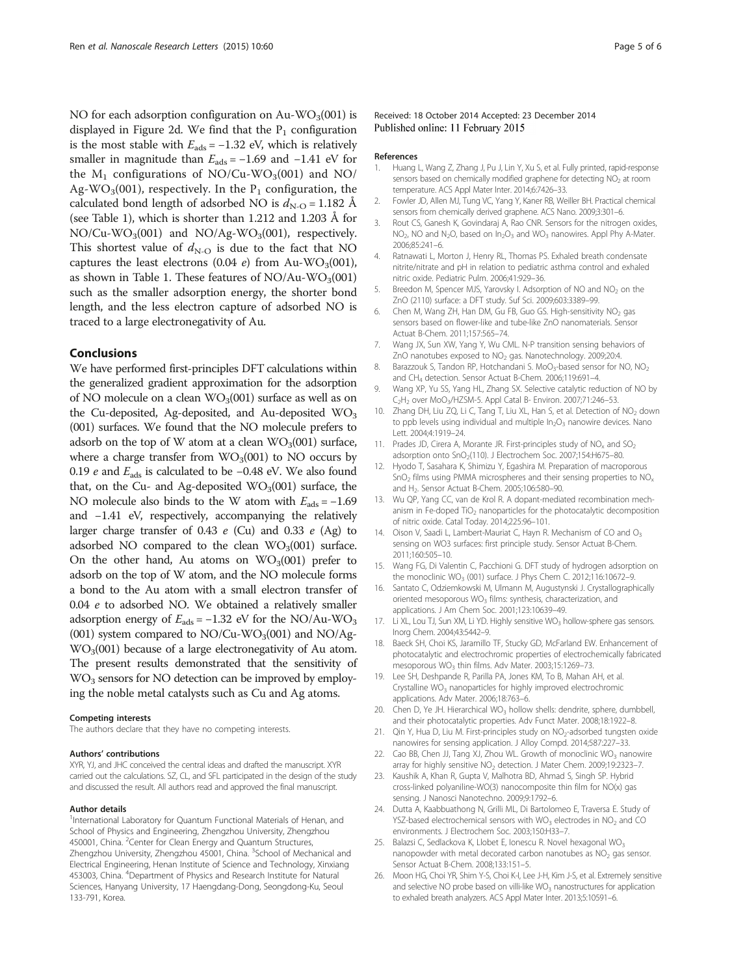<span id="page-4-0"></span>NO for each adsorption configuration on Au-WO<sub>3</sub>(001) is displayed in Figure [2d](#page-2-0). We find that the  $P_1$  configuration is the most stable with  $E_{ads} = -1.32$  eV, which is relatively smaller in magnitude than  $E_{ads} = -1.69$  and  $-1.41$  eV for the  $M_1$  configurations of NO/Cu-WO<sub>3</sub>(001) and NO/ Ag-WO<sub>3</sub>(001), respectively. In the  $P_1$  configuration, the calculated bond length of adsorbed NO is  $d_{N-O} = 1.182$  Å (see Table [1](#page-2-0)), which is shorter than 1.212 and 1.203 Å for  $NO/Cu-WO<sub>3</sub>(001)$  and  $NO/Ag-WO<sub>3</sub>(001)$ , respectively. This shortest value of  $d_{N-O}$  is due to the fact that NO captures the least electrons  $(0.04 \text{ } e)$  from Au-WO<sub>3</sub>(001), as shown in Table [1](#page-2-0). These features of  $NO/Au-WO<sub>3</sub>(001)$ such as the smaller adsorption energy, the shorter bond length, and the less electron capture of adsorbed NO is traced to a large electronegativity of Au.

#### Conclusions

We have performed first-principles DFT calculations within the generalized gradient approximation for the adsorption of NO molecule on a clean  $WO_3(001)$  surface as well as on the Cu-deposited, Ag-deposited, and Au-deposited  $WO<sub>3</sub>$ (001) surfaces. We found that the NO molecule prefers to adsorb on the top of W atom at a clean  $WO_3(001)$  surface, where a charge transfer from  $WO_3(001)$  to NO occurs by 0.19 e and  $E_{ads}$  is calculated to be −0.48 eV. We also found that, on the Cu- and Ag-deposited  $WO_3(001)$  surface, the NO molecule also binds to the W atom with  $E_{ads} = -1.69$ and −1.41 eV, respectively, accompanying the relatively larger charge transfer of 0.43 e (Cu) and 0.33 e (Ag) to adsorbed NO compared to the clean  $WO<sub>3</sub>(001)$  surface. On the other hand, Au atoms on  $WO<sub>3</sub>(001)$  prefer to adsorb on the top of W atom, and the NO molecule forms a bond to the Au atom with a small electron transfer of 0.04 e to adsorbed NO. We obtained a relatively smaller adsorption energy of  $E_{ads} = -1.32$  eV for the NO/Au-WO<sub>3</sub> (001) system compared to  $NO/Cu-WO<sub>3</sub>(001)$  and  $NO/Ag WO<sub>3</sub>(001)$  because of a large electronegativity of Au atom. The present results demonstrated that the sensitivity of WO<sub>3</sub> sensors for NO detection can be improved by employing the noble metal catalysts such as Cu and Ag atoms.

#### Competing interests

The authors declare that they have no competing interests.

#### Authors' contributions

XYR, YJ, and JHC conceived the central ideas and drafted the manuscript. XYR carried out the calculations. SZ, CL, and SFL participated in the design of the study and discussed the result. All authors read and approved the final manuscript.

#### Author details

<sup>1</sup>International Laboratory for Quantum Functional Materials of Henan, and School of Physics and Engineering, Zhengzhou University, Zhengzhou 450001, China. <sup>2</sup>Center for Clean Energy and Quantum Structures, Zhengzhou University, Zhengzhou 45001, China. <sup>3</sup>School of Mechanical and Electrical Engineering, Henan Institute of Science and Technology, Xinxiang 453003, China. <sup>4</sup>Department of Physics and Research Institute for Natural Sciences, Hanyang University, 17 Haengdang-Dong, Seongdong-Ku, Seoul 133-791, Korea.

#### Received: 18 October 2014 Accepted: 23 December 2014 Published online: 11 February 2015

#### References

- 1. Huang L, Wang Z, Zhang J, Pu J, Lin Y, Xu S, et al. Fully printed, rapid-response sensors based on chemically modified graphene for detecting NO<sub>2</sub> at room temperature. ACS Appl Mater Inter. 2014;6:7426–33.
- 2. Fowler JD, Allen MJ, Tung VC, Yang Y, Kaner RB, Weiller BH. Practical chemical sensors from chemically derived graphene. ACS Nano. 2009;3:301–6.
- 3. Rout CS, Ganesh K, Govindaraj A, Rao CNR. Sensors for the nitrogen oxides,  $NO<sub>2</sub>$ , NO and N<sub>2</sub>O, based on  $In<sub>2</sub>O<sub>3</sub>$  and WO<sub>3</sub> nanowires. Appl Phy A-Mater. 2006;85:241–6.
- Ratnawati L, Morton J, Henry RL, Thomas PS. Exhaled breath condensate nitrite/nitrate and pH in relation to pediatric asthma control and exhaled nitric oxide. Pediatric Pulm. 2006;41:929–36.
- 5. Breedon M, Spencer MJS, Yarovsky I. Adsorption of NO and  $NO<sub>2</sub>$  on the ZnO (2110) surface: a DFT study. Suf Sci. 2009;603:3389–99.
- 6. Chen M, Wang ZH, Han DM, Gu FB, Guo GS. High-sensitivity NO<sub>2</sub> gas sensors based on flower-like and tube-like ZnO nanomaterials. Sensor Actuat B-Chem. 2011;157:565–74.
- 7. Wang JX, Sun XW, Yang Y, Wu CML. N-P transition sensing behaviors of ZnO nanotubes exposed to NO<sub>2</sub> gas. Nanotechnology. 2009;20:4.
- 8. Barazzouk S, Tandon RP, Hotchandani S. MoO<sub>3</sub>-based sensor for NO, NO<sub>2</sub> and CH4 detection. Sensor Actuat B-Chem. 2006;119:691–4.
- 9. Wang XP, Yu SS, Yang HL, Zhang SX. Selective catalytic reduction of NO by C2H2 over MoO3/HZSM-5. Appl Catal B- Environ. 2007;71:246–53.
- 10. Zhang DH, Liu ZQ, Li C, Tang T, Liu XL, Han S, et al. Detection of NO<sub>2</sub> down to ppb levels using individual and multiple  $In_2O_3$  nanowire devices. Nano Lett. 2004;4:1919–24.
- 11. Prades JD, Cirera A, Morante JR. First-principles study of  $NO<sub>x</sub>$  and  $SO<sub>2</sub>$ adsorption onto SnO<sub>2</sub>(110). J Electrochem Soc. 2007;154:H675-80.
- 12. Hyodo T, Sasahara K, Shimizu Y, Egashira M. Preparation of macroporous  $SnO<sub>2</sub>$  films using PMMA microspheres and their sensing properties to  $NO<sub>x</sub>$ and H2. Sensor Actuat B-Chem. 2005;106:580–90.
- 13. Wu QP, Yang CC, van de Krol R. A dopant-mediated recombination mechanism in Fe-doped TiO<sub>2</sub> nanoparticles for the photocatalytic decomposition of nitric oxide. Catal Today. 2014;225:96–101.
- 14. Oison V, Saadi L, Lambert-Mauriat C, Hayn R. Mechanism of CO and O<sub>3</sub> sensing on WO3 surfaces: first principle study. Sensor Actuat B-Chem. 2011;160:505–10.
- 15. Wang FG, Di Valentin C, Pacchioni G. DFT study of hydrogen adsorption on the monoclinic WO<sub>3</sub> (001) surface. J Phys Chem C. 2012;116:10672-9.
- 16. Santato C, Odziemkowski M, Ulmann M, Augustynski J. Crystallographically oriented mesoporous WO<sub>3</sub> films: synthesis, characterization, and applications. J Am Chem Soc. 2001;123:10639–49.
- 17. Li XL, Lou TJ, Sun XM, Li YD. Highly sensitive WO<sub>3</sub> hollow-sphere gas sensors. Inorg Chem. 2004;43:5442–9.
- 18. Baeck SH, Choi KS, Jaramillo TF, Stucky GD, McFarland EW. Enhancement of photocatalytic and electrochromic properties of electrochemically fabricated mesoporous WO<sub>3</sub> thin films. Adv Mater. 2003;15:1269-73.
- 19. Lee SH, Deshpande R, Parilla PA, Jones KM, To B, Mahan AH, et al. Crystalline  $WO<sub>3</sub>$  nanoparticles for highly improved electrochromic applications. Adv Mater. 2006;18:763–6.
- 20. Chen D, Ye JH. Hierarchical WO<sub>3</sub> hollow shells: dendrite, sphere, dumbbell, and their photocatalytic properties. Adv Funct Mater. 2008;18:1922–8.
- 21. Qin Y, Hua D, Liu M. First-principles study on NO<sub>2</sub>-adsorbed tungsten oxide nanowires for sensing application. J Alloy Compd. 2014;587:227–33.
- 22. Cao BB, Chen JJ, Tang XJ, Zhou WL. Growth of monoclinic  $WO<sub>3</sub>$  nanowire array for highly sensitive  $NO<sub>2</sub>$  detection. J Mater Chem. 2009;19:2323–7.
- 23. Kaushik A, Khan R, Gupta V, Malhotra BD, Ahmad S, Singh SP. Hybrid cross-linked polyaniline-WO(3) nanocomposite thin film for NO(x) gas sensing. J Nanosci Nanotechno. 2009;9:1792–6.
- 24. Dutta A, Kaabbuathong N, Grilli ML, Di Bartolomeo E, Traversa E. Study of  $YSZ$ -based electrochemical sensors with WO<sub>3</sub> electrodes in NO<sub>2</sub> and CO environments. J Electrochem Soc. 2003;150:H33–7.
- 25. Balazsi C, Sedlackova K, Llobet E, Ionescu R. Novel hexagonal WO<sub>3</sub> nanopowder with metal decorated carbon nanotubes as  $NO<sub>2</sub>$  gas sensor. Sensor Actuat B-Chem. 2008;133:151–5.
- 26. Moon HG, Choi YR, Shim Y-S, Choi K-I, Lee J-H, Kim J-S, et al. Extremely sensitive and selective NO probe based on villi-like  $WO<sub>3</sub>$  nanostructures for application to exhaled breath analyzers. ACS Appl Mater Inter. 2013;5:10591–6.